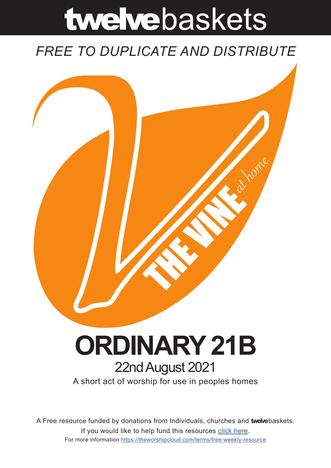# twelvebaskets

### *FREE TO DUPLICATE AND DISTRIBUTE*



## **ORDINARY 21B** 22nd August 2021

A short act of worship for use in peoples homes

A Free resource funded by donations from Individuals, churches and **twelve**baskets. If you would like to help fund this resources click here. For more information https://theworshipcloud.com/terms/free-weekly-resource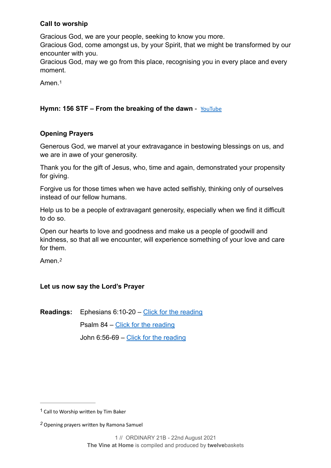#### **Call to worship**

Gracious God, we are your people, seeking to know you more.

Gracious God, come amongst us, by your Spirit, that we might be transformed by our encounter with you.

Gracious God, may we go from this place, recognising you in every place and every moment.

<span id="page-1-2"></span>Amen<sup>[1](#page-1-0)</sup>

#### **Hymn: 156 STF – From the breaking of the dawn** - [YouTube](https://www.youtube.com/watch?v=qA_sehrPVZo)

#### **Opening Prayers**

Generous God, we marvel at your extravagance in bestowing blessings on us, and we are in awe of your generosity.

Thank you for the gift of Jesus, who, time and again, demonstrated your propensity for giving.

Forgive us for those times when we have acted selfishly, thinking only of ourselves instead of our fellow humans.

Help us to be a people of extravagant generosity, especially when we find it difficult to do so.

Open our hearts to love and goodness and make us a people of goodwill and kindness, so that all we encounter, will experience something of your love and care for them.

<span id="page-1-3"></span>Amen.*[2](#page-1-1)*

#### **Let us now say the Lord's Prayer**

**Readings:** Ephesians 6:10-20 – [Click for the reading](https://www.biblegateway.com/passage/?search=Ephesians+6:10-20+&version=NRSV)

Psalm 84 – [Click for the reading](https://www.biblegateway.com/passage/?search=Psalm+84+&version=NRSV)

John 6:56-69 – [Click for the reading](https://www.biblegateway.com/passage/?search=John+6:56-69+&version=NRSV)

<span id="page-1-0"></span> $1$  Call to Worship written by Tim Baker

<span id="page-1-1"></span>Opening prayers written by Ramona Samuel *[2](#page-1-3)*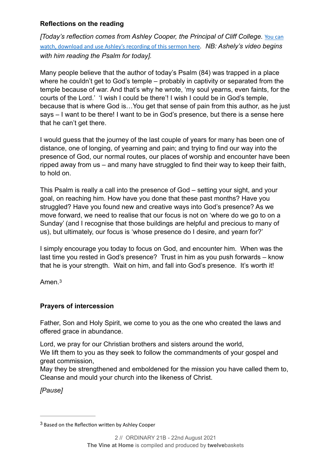#### **Reflections on the reading**

*[Today's reflection comes from Ashley Cooper, the Principal of Cliff College. You can* [watch, download and use Ashley's recording of this sermon here](https://theworshipcloud.com/view/store/twelvebaskets-vine-video-ashley-cooper-the-vine-video-22nd-august-2021)*. NB: Ashely's video begins with him reading the Psalm for today].*

Many people believe that the author of today's Psalm (84) was trapped in a place where he couldn't get to God's temple – probably in captivity or separated from the temple because of war. And that's why he wrote, 'my soul yearns, even faints, for the courts of the Lord.' 'I wish I could be there'! I wish I could be in God's temple, because that is where God is…You get that sense of pain from this author, as he just says – I want to be there! I want to be in God's presence, but there is a sense here that he can't get there.

I would guess that the journey of the last couple of years for many has been one of distance, one of longing, of yearning and pain; and trying to find our way into the presence of God, our normal routes, our places of worship and encounter have been ripped away from us – and many have struggled to find their way to keep their faith, to hold on.

This Psalm is really a call into the presence of God – setting your sight, and your goal, on reaching him. How have you done that these past months? Have you struggled? Have you found new and creative ways into God's presence? As we move forward, we need to realise that our focus is not on 'where do we go to on a Sunday' (and I recognise that those buildings are helpful and precious to many of us), but ultimately, our focus is 'whose presence do I desire, and yearn for?'

I simply encourage you today to focus on God, and encounter him. When was the last time you rested in God's presence? Trust in him as you push forwards – know that he is your strength. Wait on him, and fall into God's presence. It's worth it!

<span id="page-2-1"></span>Amen.[3](#page-2-0)

#### **Prayers of intercession**

Father, Son and Holy Spirit, we come to you as the one who created the laws and offered grace in abundance.

Lord, we pray for our Christian brothers and sisters around the world,

We lift them to you as they seek to follow the commandments of your gospel and great commission,

May they be strengthened and emboldened for the mission you have called them to, Cleanse and mould your church into the likeness of Christ.

*[Pause]*

<span id="page-2-0"></span><sup>&</sup>lt;sup>[3](#page-2-1)</sup> Based on the Reflection written by Ashley Cooper